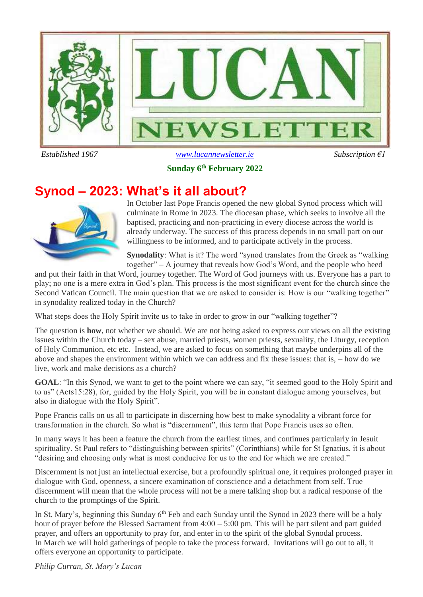

 *Established 1967 [www.lucannewsletter.ie](http://www.lucannewsletter.ie/) Subscription €1*

**Sunday 6 th February 2022**

## **Synod – 2023: What's it all about?**



In October last Pope Francis opened the new global Synod process which will culminate in Rome in 2023. The diocesan phase, which seeks to involve all the baptised, practicing and non-practicing in every diocese across the world is already underway. The success of this process depends in no small part on our willingness to be informed, and to participate actively in the process.

**Synodality**: What is it? The word "synod translates from the Greek as "walking together" – A journey that reveals how God's Word, and the people who heed

and put their faith in that Word, journey together. The Word of God journeys with us. Everyone has a part to play; no one is a mere extra in God's plan. This process is the most significant event for the church since the Second Vatican Council. The main question that we are asked to consider is: How is our "walking together" in synodality realized today in the Church?

What steps does the Holy Spirit invite us to take in order to grow in our "walking together"?

The question is **how**, not whether we should. We are not being asked to express our views on all the existing issues within the Church today – sex abuse, married priests, women priests, sexuality, the Liturgy, reception of Holy Communion, etc etc. Instead, we are asked to focus on something that maybe underpins all of the above and shapes the environment within which we can address and fix these issues: that is, – how do we live, work and make decisions as a church?

**GOAL**: "In this Synod, we want to get to the point where we can say, "it seemed good to the Holy Spirit and to us" (Acts15:28), for, guided by the Holy Spirit, you will be in constant dialogue among yourselves, but also in dialogue with the Holy Spirit".

Pope Francis calls on us all to participate in discerning how best to make synodality a vibrant force for transformation in the church. So what is "discernment", this term that Pope Francis uses so often.

In many ways it has been a feature the church from the earliest times, and continues particularly in Jesuit spirituality. St Paul refers to "distinguishing between spirits" (Corinthians) while for St Ignatius, it is about "desiring and choosing only what is most conducive for us to the end for which we are created."

Discernment is not just an intellectual exercise, but a profoundly spiritual one, it requires prolonged prayer in dialogue with God, openness, a sincere examination of conscience and a detachment from self. True discernment will mean that the whole process will not be a mere talking shop but a radical response of the church to the promptings of the Spirit.

In St. Mary's, beginning this Sunday 6<sup>th</sup> Feb and each Sunday until the Synod in 2023 there will be a holy hour of prayer before the Blessed Sacrament from  $4:00 - 5:00$  pm. This will be part silent and part guided prayer, and offers an opportunity to pray for, and enter in to the spirit of the global Synodal process. In March we will hold gatherings of people to take the process forward. Invitations will go out to all, it offers everyone an opportunity to participate.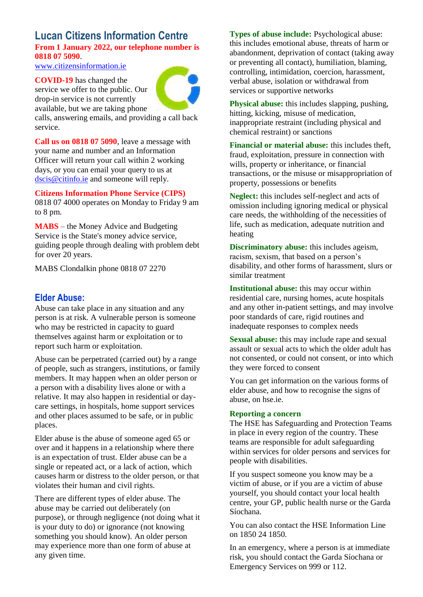### **Lucan Citizens Information Centre From 1 January 2022, our telephone number is 0818 07 5090**.

[www.citizensinformation.ie](http://www.citizensinformation.ie/)

**COVID-19** has changed the service we offer to the public. Our drop-in service is not currently available, but we are taking phone



calls, answering emails, and providing a call back service.

**Call us on 0818 07 5090**, leave a message with your name and number and an Information Officer will return your call within 2 working days, or you can email your query to us at [dscis@citinfo.ie](mailto:dscis@citinfo.ie) and someone will reply.

**Citizens Information Phone Service (CIPS)** 0818 07 4000 operates on Monday to Friday 9 am to 8 pm.

**MABS** – the Money Advice and Budgeting Service is the State's money advice service, guiding people through dealing with problem debt for over 20 years.

MABS Clondalkin phone 0818 07 2270

### **Elder Abuse:**

Abuse can take place in any situation and any person is at risk. A vulnerable person is someone who may be restricted in capacity to guard themselves against harm or exploitation or to report such harm or exploitation.

Abuse can be perpetrated (carried out) by a range of people, such as strangers, institutions, or family members. It may happen when an older person or a person with a disability lives alone or with a relative. It may also happen in residential or daycare settings, in hospitals, home support services and other places assumed to be safe, or in public places.

Elder abuse is the abuse of someone aged 65 or over and it happens in a relationship where there is an expectation of trust. Elder abuse can be a single or repeated act, or a lack of action, which causes harm or distress to the older person, or that violates their human and civil rights.

There are different types of elder abuse. The abuse may be carried out deliberately (on purpose), or through negligence (not doing what it is your duty to do) or ignorance (not knowing something you should know). An older person may experience more than one form of abuse at any given time.

**Types of abuse include:** Psychological abuse: this includes emotional abuse, threats of harm or abandonment, deprivation of contact (taking away or preventing all contact), humiliation, blaming, controlling, intimidation, coercion, harassment, verbal abuse, isolation or withdrawal from services or supportive networks

**Physical abuse:** this includes slapping, pushing, hitting, kicking, misuse of medication, inappropriate restraint (including physical and chemical restraint) or sanctions

**Financial or material abuse:** this includes theft, fraud, exploitation, pressure in connection with wills, property or inheritance, or financial transactions, or the misuse or misappropriation of property, possessions or benefits

**Neglect:** this includes self-neglect and acts of omission including ignoring medical or physical care needs, the withholding of the necessities of life, such as medication, adequate nutrition and heating

**Discriminatory abuse:** this includes ageism, racism, sexism, that based on a person's disability, and other forms of harassment, slurs or similar treatment

**Institutional abuse:** this may occur within residential care, nursing homes, acute hospitals and any other in-patient settings, and may involve poor standards of care, rigid routines and inadequate responses to complex needs

**Sexual abuse:** this may include rape and sexual assault or sexual acts to which the older adult has not consented, or could not consent, or into which they were forced to consent

You can get information on the various forms of elder abuse, and how to recognise the signs of abuse, on hse.ie.

#### **Reporting a concern**

The HSE has Safeguarding and Protection Teams in place in every region of the country. These teams are responsible for adult safeguarding within services for older persons and services for people with disabilities.

If you suspect someone you know may be a victim of abuse, or if you are a victim of abuse yourself, you should contact your local health centre, your GP, public health nurse or the Garda Síochana.

You can also contact the HSE Information Line on 1850 24 1850.

In an emergency, where a person is at immediate risk, you should contact the Garda Síochana or Emergency Services on 999 or 112.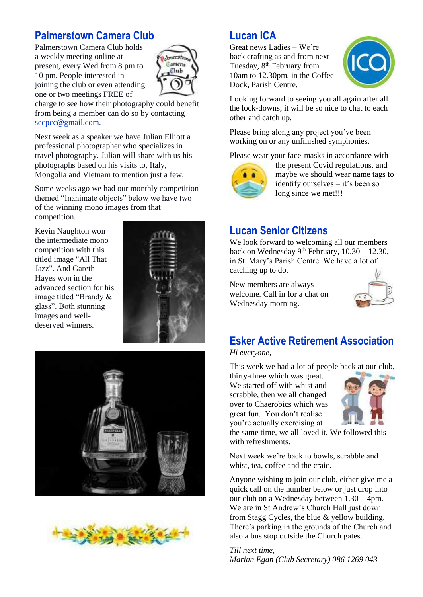## **Palmerstown Camera Club**

Palmerstown Camera Club holds a weekly meeting online at present, every Wed from 8 pm to 10 pm. People interested in joining the club or even attending one or two meetings FREE of



charge to see how their photography could benefit from being a member can do so by contacting secpcc@gmail.com.

Next week as a speaker we have Julian Elliott a professional photographer who specializes in travel photography. Julian will share with us his photographs based on his visits to, Italy, Mongolia and Vietnam to mention just a few.

Some weeks ago we had our monthly competition themed "Inanimate objects" below we have two of the winning mono images from that competition.

Kevin Naughton won the intermediate mono competition with this titled image "All That Jazz". And Gareth Hayes won in the advanced section for his image titled "Brandy & glass". Both stunning images and welldeserved winners.







## **Lucan ICA**

Great news Ladies – We're back crafting as and from next Tuesday, 8<sup>th</sup> February from 10am to 12.30pm, in the Coffee Dock, Parish Centre.



Looking forward to seeing you all again after all the lock-downs; it will be so nice to chat to each other and catch up.

Please bring along any project you've been working on or any unfinished symphonies.

Please wear your face-masks in accordance with



the present Covid regulations, and maybe we should wear name tags to identify ourselves – it's been so long since we met!!!

## **Lucan Senior Citizens**

We look forward to welcoming all our members back on Wednesday 9<sup>th</sup> February,  $10.30 - 12.30$ , in St. Mary's Parish Centre. We have a lot of catching up to do.

New members are always welcome. Call in for a chat on Wednesday morning.



### **Esker Active Retirement Association** *Hi everyone*,

This week we had a lot of people back at our club,

thirty-three which was great. We started off with whist and scrabble, then we all changed over to Chaerobics which was great fun. You don't realise you're actually exercising at



the same time, we all loved it. We followed this with refreshments.

Next week we're back to bowls, scrabble and whist, tea, coffee and the craic.

Anyone wishing to join our club, either give me a quick call on the number below or just drop into our club on a Wednesday between 1.30 – 4pm. We are in St Andrew's Church Hall just down from Stagg Cycles, the blue & yellow building. There's parking in the grounds of the Church and also a bus stop outside the Church gates.

*Till next time, Marian Egan (Club Secretary) 086 1269 043*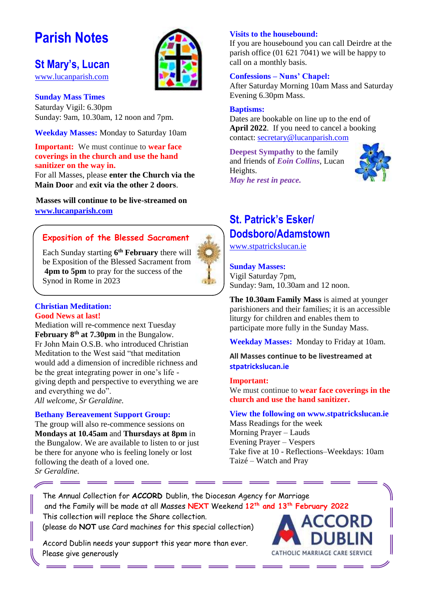# **Parish Notes**

## **St Mary's, Lucan**

[www.lucanparish.com](http://www.lucanparish.com/)

#### **Sunday Mass Times**  Saturday Vigil: 6.30pm Sunday: 9am, 10.30am, 12 noon and 7pm.

**Weekday Masses:** Monday to Saturday 10am

### **Important:** We must continue to **wear face coverings in the church and use the hand sanitizer on the way in.**

For all Masses, please **enter the Church via the Main Door** and **exit via the other 2 doors**.

**Masses will continue to be live-streamed on [www.lucanparish.com](http://www.lucanparish.com/)**

### **Exposition of the Blessed Sacrament**

Each Sunday starting **6 th February** there will be Exposition of the Blessed Sacrament from **4pm to 5pm** to pray for the success of the Synod in Rome in 2023

#### **Christian Meditation: Good News at last!**

Mediation will re-commence next Tuesday **February 8th at 7.30pm** in the Bungalow. Fr John Main O.S.B. who introduced Christian Meditation to the West said "that meditation would add a dimension of incredible richness and be the great integrating power in one's life giving depth and perspective to everything we are and everything we do".

*All welcome, Sr Geraldine.*

 $\curvearrowright$  =

#### **Bethany Bereavement Support Group:**

The group will also re-commence sessions on **Mondays at 10.45am** and **Thursdays at 8pm** in the Bungalow. We are available to listen to or just be there for anyone who is feeling lonely or lost following the death of a loved one. *Sr Geraldine.* 

### **Visits to the housebound:**

If you are housebound you can call Deirdre at the parish office (01 621 7041) we will be happy to call on a monthly basis.

#### **Confessions – Nuns' Chapel:**

After Saturday Morning 10am Mass and Saturday Evening 6.30pm Mass.

#### **Baptisms:**

Dates are bookable on line up to the end of **April 2022**. If you need to cancel a booking contact: [secretary@lucanparish.com](mailto:secretary@lucanparish.com?subject=Cancellation%20of%20Baptism%20Booking&body=Dear%20Secretary%2C%0AI%20wish%20to%20cancel%20the%20booking%20made%20for%20baby%3A%0Aon%20date%3A%0AThank%20You)

**Deepest Sympathy** to the family and friends of *Eoin Collins*, Lucan Heights. *May he rest in peace.* 



## **St. Patrick's Esker/ Dodsboro/Adamstown**

[www.stpatrickslucan.ie](http://www.stpatrickslucan.ie/)

#### **Sunday Masses:**

Vigil Saturday 7pm, Sunday: 9am, 10.30am and 12 noon.

**The 10.30am Family Mass** is aimed at younger parishioners and their families; it is an accessible liturgy for children and enables them to participate more fully in the Sunday Mass.

**Weekday Masses:** Monday to Friday at 10am.

**All Masses continue to be livestreamed at stpatrickslucan.ie**

#### **Important:**

We must continue to **wear face coverings in the church and use the hand sanitizer.** 

#### **View the following on www.stpatrickslucan.ie**

Mass Readings for the week Morning Prayer – Lauds Evening Prayer – Vespers Take five at 10 - Reflections–Weekdays: 10am Taizé – Watch and Pray

The Annual Collection for **ACCORD** Dublin, the Diocesan Agency for Marriage and the Family will be made at all Masses **NEXT** Weekend **12th and 13th February 2022** This collection will replace the Share collection. (please do **NOT** use Card machines for this special collection) Accord Dublin needs your support this year more than ever. CATHOLIC MARRIAGE CARE SERVICE Please give generously

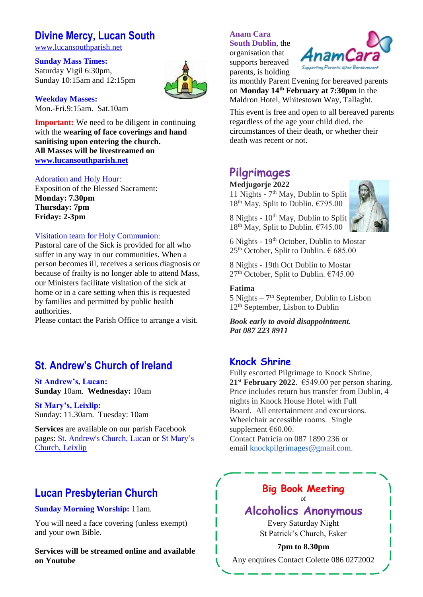## **Divine Mercy, Lucan South**

[www.lucansouthparish.net](http://www.lucansouthparish.net/)

**Sunday Mass Times:** Saturday Vigil 6:30pm, Sunday 10:15am and 12:15pm

**Weekday Masses:** Mon.-Fri.9:15am. Sat.10am

**Important:** We need to be diligent in continuing with the **wearing of face coverings and hand sanitising upon entering the church. All Masses will be livestreamed on [www.lucansouthparish.net](http://www.lucansouthparish.net/)**

#### Adoration and Holy Hour:

Exposition of the Blessed Sacrament: **Monday: 7.30pm Thursday: 7pm Friday: 2-3pm**

#### Visitation team for Holy Communion:

Pastoral care of the Sick is provided for all who suffer in any way in our communities. When a person becomes ill, receives a serious diagnosis or because of frailty is no longer able to attend Mass, our Ministers facilitate visitation of the sick at home or in a care setting when this is requested by families and permitted by public health authorities.

Please contact the Parish Office to arrange a visit.

## **St. Andrew's Church of Ireland**

**St Andrew's, Lucan: Sunday** 10am. **Wednesday:** 10am

**St Mary's, Leixlip:**  Sunday: 11.30am. Tuesday: 10am

**Services** are available on our parish Facebook pages: [St. Andrew's Church, Lucan](https://www.facebook.com/standrewslucan/) or [St Mary's](https://www.facebook.com/stmarysleixlip/)  [Church, Leixlip](https://www.facebook.com/stmarysleixlip/)

## **Lucan Presbyterian Church**

#### **Sunday Morning Worship:** 11am.

You will need a face covering (unless exempt) and your own Bible.

**Services will be streamed online and available on Youtube**

### **Anam Cara**

**South Dublin**, the organisation that supports bereaved parents, is holding



its monthly Parent Evening for bereaved parents on **Monday 14th February at 7:30pm** in the Maldron Hotel, Whitestown Way, Tallaght.

This event is free and open to all bereaved parents regardless of the age your child died, the circumstances of their death, or whether their death was recent or not.

## **Pilgrimages**

#### **Medjugorje 2022**

11 Nights - 7 th May, Dublin to Split  $18^{th}$  May, Split to Dublin.  $€795.00$ 

8 Nights -  $10^{th}$  May, Dublin to Split  $18<sup>th</sup>$  May, Split to Dublin.  $€745.00$ 



6 Nights - 19th October, Dublin to Mostar  $25<sup>th</sup>$  October, Split to Dublin.  $\epsilon$  685.00

8 Nights - 19th Oct Dublin to Mostar  $27<sup>th</sup>$  October, Split to Dublin.  $€745.00$ 

#### **Fatima**

 $5$  Nights  $-7<sup>th</sup>$  September, Dublin to Lisbon 12th September, Lisbon to Dublin

*Book early to avoid disappointment. Pat 087 223 8911*

### **Knock Shrine**

Fully escorted Pilgrimage to Knock Shrine, **21**<sup>st</sup> **February 2022**.  $\epsilon$ 549.00 per person sharing. Price includes return bus transfer from Dublin, 4 nights in Knock House Hotel with Full Board. All entertainment and excursions. Wheelchair accessible rooms. Single supplement €60.00. Contact Patricia on 087 1890 236 or email [knockpilgrimages@gmail.com.](mailto:patricia@gotrouvaille.com) 

**Big Book Meeting**

of

### **Alcoholics Anonymous**

Every Saturday Night St Patrick's Church, Esker

**7pm to 8.30pm** Any enquires Contact Colette 086 0272002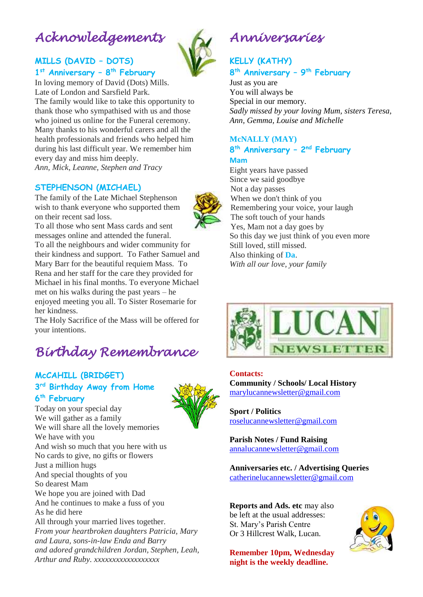# *Acknowledgements*

### **MILLS (DAVID – DOTS) 1 st Anniversary – 8 th February**

In loving memory of David (Dots) Mills. Late of London and Sarsfield Park. The family would like to take this opportunity to thank those who sympathised with us and those who joined us online for the Funeral ceremony. Many thanks to his wonderful carers and all the health professionals and friends who helped him during his last difficult year. We remember him every day and miss him deeply.

*Ann, Mick, Leanne, Stephen and Tracy*

#### **STEPHENSON (MICHAEL)**

The family of the Late Michael Stephenson wish to thank everyone who supported them on their recent sad loss.

To all those who sent Mass cards and sent messages online and attended the funeral. To all the neighbours and wider community for their kindness and support. To Father Samuel and Mary Barr for the beautiful requiem Mass. To Rena and her staff for the care they provided for Michael in his final months. To everyone Michael met on his walks during the past years – he enjoyed meeting you all. To Sister Rosemarie for her kindness.

The Holy Sacrifice of the Mass will be offered for your intentions.

# *Birthday Remembrance*

### **McCAHILL (BRIDGET) 3 rd Birthday Away from Home 6 th February**

Today on your special day We will gather as a family We will share all the lovely memories We have with you And wish so much that you here with us No cards to give, no gifts or flowers Just a million hugs And special thoughts of you So dearest Mam We hope you are joined with Dad And he continues to make a fuss of you As he did here All through your married lives together. *From your heartbroken daughters Patricia, Mary and Laura, sons-in-law Enda and Barry and adored grandchildren Jordan, Stephen, Leah, Arthur and Ruby. xxxxxxxxxxxxxxxxxx*



### **KELLY (KATHY)** **8 th Anniversary – 9 th February**

Just as you are You will always be Special in our memory. *Sadly missed by your loving Mum, sisters Teresa, Ann, Gemma, Louise and Michelle*

#### **McNALLY (MAY) 8 th Anniversary – 2 nd February Mam**

Eight years have passed Since we said goodbye Not a day passes When we don't think of you Remembering your voice, your laugh The soft touch of your hands Yes, Mam not a day goes by So this day we just think of you even more Still loved, still missed. Also thinking of **Da**. *With all our love, your family*



#### **Contacts:**

**Community / Schools/ Local History**  [marylucannewsletter@gmail.com](mailto:marylucannewsletter@gmail.com) 

**Sport / Politics** [roselucannewsletter@gmail.com](mailto:roselucannewsletter@gmail.com)

**Parish Notes / Fund Raising** [annalucannewsletter@gmail.com](mailto:annalucannewsletter@gmail.com)

**Anniversaries etc. / Advertising Queries**  [catherinelucannewsletter@gmail.com](mailto:catherinelucannewsletter@gmail.com)

**Reports and Ads. etc** may also be left at the usual addresses: St. Mary's Parish Centre Or 3 Hillcrest Walk, Lucan.

**Remember 10pm, Wednesday night is the weekly deadline.** 





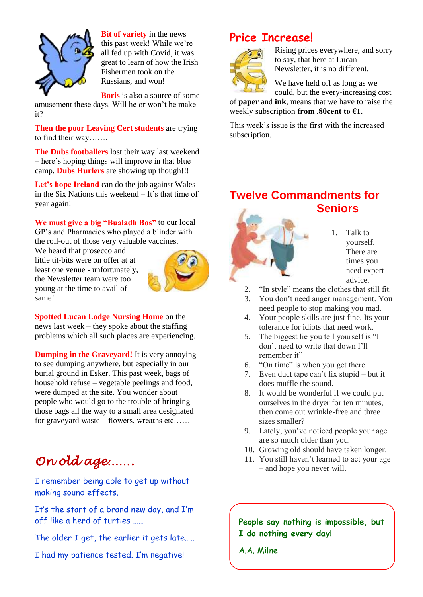

it?

**Bit of variety** in the news this past week! While we're all fed up with Covid, it was great to learn of how the Irish Fishermen took on the Russians, and won!

**Boris** is also a source of some amusement these days. Will he or won't he make

**Then the poor Leaving Cert students** are trying to find their way…….

**The Dubs footballers** lost their way last weekend – here's hoping things will improve in that blue camp. **Dubs Hurlers** are showing up though!!!

Let's hope Ireland can do the job against Wales in the Six Nations this weekend – It's that time of year again!

**We must give a big "Bualadh Bos"** to our local GP's and Pharmacies who played a blinder with the roll-out of those very valuable vaccines.

We heard that prosecco and little tit-bits were on offer at at least one venue - unfortunately, the Newsletter team were too young at the time to avail of same!



**Spotted Lucan Lodge Nursing Home** on the news last week – they spoke about the staffing problems which all such places are experiencing.

**Dumping in the Graveyard!** It is very annoying to see dumping anywhere, but especially in our burial ground in Esker. This past week, bags of household refuse – vegetable peelings and food, were dumped at the site. You wonder about people who would go to the trouble of bringing those bags all the way to a small area designated for graveyard waste – flowers, wreaths etc……

# *On old age…….*

I remember being able to get up without making sound effects.

It's the start of a brand new day, and I'm off like a herd of turtles ……

The older I get, the earlier it gets late.....

I had my patience tested. I'm negative!

## **Price Increase!**



Rising prices everywhere, and sorry to say, that here at Lucan Newsletter, it is no different.

We have held off as long as we could, but the every-increasing cost

of **paper** and **ink**, means that we have to raise the weekly subscription **from .80cent to €1.**

This week's issue is the first with the increased subscription.

## **Twelve Commandments for Seniors**



- 1. Talk to yourself. There are times you need expert advice.
- 2. "In style" means the clothes that still fit.
- 3. You don't need anger management. You need people to stop making you mad.
- 4. Your people skills are just fine. Its your tolerance for idiots that need work.
- 5. The biggest lie you tell yourself is "I don't need to write that down I'll remember it"
- 6. "On time" is when you get there.
- 7. Even duct tape can't fix stupid but it does muffle the sound.
- 8. It would be wonderful if we could put ourselves in the dryer for ten minutes, then come out wrinkle-free and three sizes smaller?
- 9. Lately, you've noticed people your age are so much older than you.
- 10. Growing old should have taken longer.
- 11. You still haven't learned to act your age – and hope you never will.

**People say nothing is impossible, but I do nothing every day!**

A.A. Milne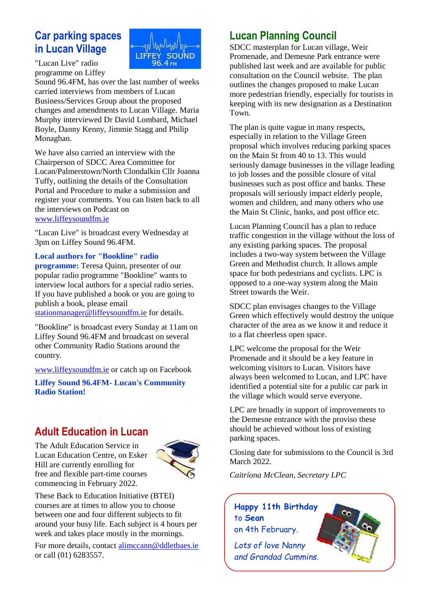## **Car parking spaces in Lucan Village**



"Lucan Live" radio programme on Liffey

Sound 96.4FM, has over the last number of weeks carried interviews from members of Lucan Business/Services Group about the proposed changes and amendments to Lucan Village. Maria Murphy interviewed Dr David Lombard, Michael Boyle, Danny Kenny, Jimmie Stagg and Philip Monaghan.

We have also carried an interview with the Chairperson of SDCC Area Committee for Lucan/Palmerstown/North Clondalkin Cllr Joanna Tuffy, outlining the details of the Consultation Portal and Procedure to make a submission and register your comments. You can listen back to all the interviews on Podcast on [www.liffeysoundfm.ie](http://www.liffeysoundfm.ie/)

"Lucan Live" is broadcast every Wednesday at 3pm on Liffey Sound 96.4FM.

#### **Local authors for "Bookline" radio**

**programme:** Teresa Quinn, presenter of our popular radio programme "Bookline" wants to interview local authors for a special radio series. If you have published a book or you are going to publish a book, please email

[stationmanager@liffeysoundfm.ie](mailto:stationmanager@liffeysoundfm.ie) for details.

"Bookline" is broadcast every Sunday at 11am on Liffey Sound 96.4FM and broadcast on several other Community Radio Stations around the country.

[www.liffeysoundfm.ie](http://www.liffeysoundfm.ie/) or catch up on Facebook

**Liffey Sound 96.4FM- Lucan's Community Radio Station!** 

## **Adult Education in Lucan**

The Adult Education Service in Lucan Education Centre, on Esker Hill are currently enrolling for free and flexible part-time courses commencing in February 2022.



These Back to Education Initiative (BTEI) courses are at times to allow you to choose between one and four different subjects to fit around your busy life. Each subject is 4 hours per week and takes place mostly in the mornings.

For more details, contact [alimccann@ddletbaes.ie](mailto:alimccann@ddletbaes.ie) or call (01) 6283557.

## **Lucan Planning Council**

SDCC masterplan for Lucan village, Weir Promenade, and Demesne Park entrance were published last week and are available for public consultation on the Council website. The plan outlines the changes proposed to make Lucan more pedestrian friendly, especially for tourists in keeping with its new designation as a Destination Town.

The plan is quite vague in many respects, especially in relation to the Village Green proposal which involves reducing parking spaces on the Main St from 40 to 13. This would seriously damage businesses in the village leading to job losses and the possible closure of vital businesses such as post office and banks. These proposals will seriously impact elderly people, women and children, and many others who use the Main St Clinic, banks, and post office etc.

Lucan Planning Council has a plan to reduce traffic congestion in the village without the loss of any existing parking spaces. The proposal includes a two-way system between the Village Green and Methodist church. It allows ample space for both pedestrians and cyclists. LPC is opposed to a one-way system along the Main Street towards the Weir.

SDCC plan envisages changes to the Village Green which effectively would destroy the unique character of the area as we know it and reduce it to a flat cheerless open space.

LPC welcome the proposal for the Weir Promenade and it should be a key feature in welcoming visitors to Lucan. Visitors have always been welcomed to Lucan, and LPC have identified a potential site for a public car park in the village which would serve everyone.

LPC are broadly in support of improvements to the Demesne entrance with the proviso these should be achieved without loss of existing parking spaces.

Closing date for submissions to the Council is 3rd March 2022.

*Caitríona McClean, Secretary LPC*

**Happy 11th Birthday**  to **Sean**  on 4th February.

*Lots of love Nanny and Grandad Cummins.*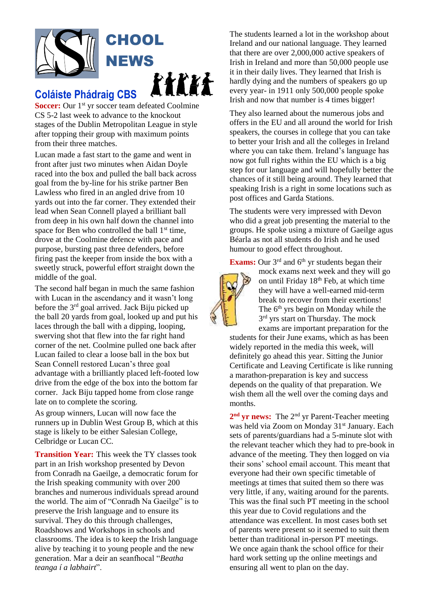

## **Coláiste Phádraig CBS**

**Soccer:** Our 1<sup>st</sup> yr soccer team defeated Coolmine CS 5-2 last week to advance to the knockout stages of the Dublin Metropolitan League in style after topping their group with maximum points from their three matches.

Lucan made a fast start to the game and went in front after just two minutes when Aidan Doyle raced into the box and pulled the ball back across goal from the by-line for his strike partner Ben Lawless who fired in an angled drive from 10 yards out into the far corner. They extended their lead when Sean Connell played a brilliant ball from deep in his own half down the channel into space for Ben who controlled the ball  $1<sup>st</sup>$  time, drove at the Coolmine defence with pace and purpose, bursting past three defenders, before firing past the keeper from inside the box with a sweetly struck, powerful effort straight down the middle of the goal.

The second half began in much the same fashion with Lucan in the ascendancy and it wasn't long before the 3rd goal arrived. Jack Biju picked up the ball 20 yards from goal, looked up and put his laces through the ball with a dipping, looping, swerving shot that flew into the far right hand corner of the net. Coolmine pulled one back after Lucan failed to clear a loose ball in the box but Sean Connell restored Lucan's three goal advantage with a brilliantly placed left-footed low drive from the edge of the box into the bottom far corner. Jack Biju tapped home from close range late on to complete the scoring.

As group winners, Lucan will now face the runners up in Dublin West Group B, which at this stage is likely to be either Salesian College, Celbridge or Lucan CC.

**Transition Year:** This week the TY classes took part in an Irish workshop presented by Devon from Conradh na Gaeilge, a democratic forum for the Irish speaking community with over 200 branches and numerous individuals spread around the world. The aim of "Conradh Na Gaeilge" is to preserve the Irish language and to ensure its survival. They do this through challenges, Roadshows and Workshops in schools and classrooms. The idea is to keep the Irish language alive by teaching it to young people and the new generation. Mar a deir an seanfhocal "*Beatha teanga í a labhairt*".

The students learned a lot in the workshop about Ireland and our national language. They learned that there are over 2,000,000 active speakers of Irish in Ireland and more than 50,000 people use it in their daily lives. They learned that Irish is hardly dying and the numbers of speakers go up every year- in 1911 only 500,000 people spoke Irish and now that number is 4 times bigger!

They also learned about the numerous jobs and offers in the EU and all around the world for Irish speakers, the courses in college that you can take to better your Irish and all the colleges in Ireland where you can take them. Ireland's language has now got full rights within the EU which is a big step for our language and will hopefully better the chances of it still being around. They learned that speaking Irish is a right in some locations such as post offices and Garda Stations.

The students were very impressed with Devon who did a great job presenting the material to the groups. He spoke using a mixture of Gaeilge agus Béarla as not all students do Irish and he used humour to good effect throughout.

**Exams:** Our  $3<sup>rd</sup>$  and  $6<sup>th</sup>$  yr students began their



mock exams next week and they will go on until Friday 18<sup>th</sup> Feb, at which time they will have a well-earned mid-term break to recover from their exertions! The 6<sup>th</sup> yrs begin on Monday while the 3<sup>rd</sup> yrs start on Thursday. The mock

exams are important preparation for the students for their June exams, which as has been widely reported in the media this week, will definitely go ahead this year. Sitting the Junior Certificate and Leaving Certificate is like running a marathon-preparation is key and success depends on the quality of that preparation. We wish them all the well over the coming days and months.

2<sup>nd</sup> yr news: The 2<sup>nd</sup> yr Parent-Teacher meeting was held via Zoom on Monday 31<sup>st</sup> January. Each sets of parents/guardians had a 5-minute slot with the relevant teacher which they had to pre-book in advance of the meeting. They then logged on via their sons' school email account. This meant that everyone had their own specific timetable of meetings at times that suited them so there was very little, if any, waiting around for the parents. This was the final such PT meeting in the school this year due to Covid regulations and the attendance was excellent. In most cases both set of parents were present so it seemed to suit them better than traditional in-person PT meetings. We once again thank the school office for their hard work setting up the online meetings and ensuring all went to plan on the day.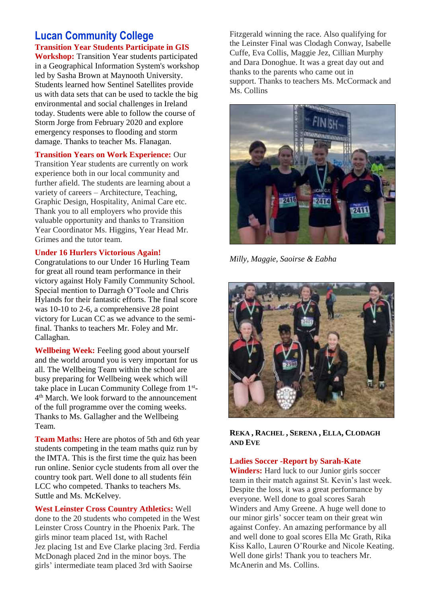### **Lucan Community College Transition Year Students Participate in GIS**

**Workshop:** Transition Year students participated in a Geographical Information System's workshop led by Sasha Brown at Maynooth University. Students learned how Sentinel Satellites provide us with data sets that can be used to tackle the big environmental and social challenges in Ireland today. Students were able to follow the course of Storm Jorge from February 2020 and explore emergency responses to flooding and storm damage. Thanks to teacher Ms. Flanagan.

**Transition Years on Work Experience:** Our

Transition Year students are currently on work experience both in our local community and further afield. The students are learning about a variety of careers – Architecture, Teaching, Graphic Design, Hospitality, Animal Care etc. Thank you to all employers who provide this valuable opportunity and thanks to Transition Year Coordinator Ms. Higgins, Year Head Mr. Grimes and the tutor team.

#### **Under 16 Hurlers Victorious Again!**

Congratulations to our Under 16 Hurling Team for great all round team performance in their victory against Holy Family Community School. Special mention to Darragh O'Toole and Chris Hylands for their fantastic efforts. The final score was 10-10 to 2-6, a comprehensive 28 point victory for Lucan CC as we advance to the semifinal. Thanks to teachers Mr. Foley and Mr. Callaghan.

**Wellbeing Week:** Feeling good about yourself and the world around you is very important for us all. The Wellbeing Team within the school are busy preparing for Wellbeing week which will take place in Lucan Community College from 1<sup>st</sup>-4 th March. We look forward to the announcement of the full programme over the coming weeks. Thanks to Ms. Gallagher and the Wellbeing Team.

**Team Maths:** Here are photos of 5th and 6th year students competing in the team maths quiz run by the IMTA. This is the first time the quiz has been run online. Senior cycle students from all over the country took part. Well done to all students féin LCC who competed. Thanks to teachers Ms. Suttle and Ms. McKelvey.

**West Leinster Cross Country Athletics:** Well done to the 20 students who competed in the West Leinster Cross Country in the Phoenix Park. The girls minor team placed 1st, with Rachel Jez placing 1st and Eve Clarke placing 3rd. Ferdia McDonagh placed 2nd in the minor boys. The girls' intermediate team placed 3rd with Saoirse

Fitzgerald winning the race. Also qualifying for the Leinster Final was Clodagh Conway, Isabelle Cuffe, Eva Collis, Maggie Jez, Cillian Murphy and Dara Donoghue. It was a great day out and thanks to the parents who came out in support. Thanks to teachers Ms. McCormack and Ms. Collins



*Milly, Maggie, Saoirse & Eabha*



**REKA , RACHEL , SERENA , ELLA, CLODAGH AND EVE**

#### **Ladies Soccer -Report by Sarah-Kate**

**Winders:** Hard luck to our Junior girls soccer team in their match against St. Kevin's last week. Despite the loss, it was a great performance by everyone. Well done to goal scores Sarah Winders and Amy Greene. A huge well done to our minor girls' soccer team on their great win against Confey. An amazing performance by all and well done to goal scores Ella Mc Grath, Rika Kiss Kallo, Lauren O'Rourke and Nicole Keating. Well done girls! Thank you to teachers Mr. McAnerin and Ms. Collins.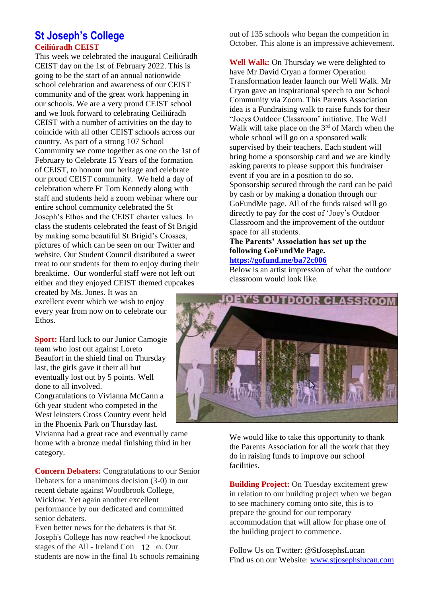### **St Joseph's College Ceiliúradh CEIST**

This week we celebrated the inaugural Ceiliúradh CEIST day on the 1st of February 2022. This is going to be the start of an annual nationwide school celebration and awareness of our CEIST community and of the great work happening in our schools. We are a very proud CEIST school and we look forward to celebrating Ceiliúradh CEIST with a number of activities on the day to coincide with all other CEIST schools across our country. As part of a strong 107 School Community we come together as one on the 1st of February to Celebrate 15 Years of the formation of CEIST, to honour our heritage and celebrate our proud CEIST community. We held a day of celebration where Fr Tom Kennedy along with staff and students held a zoom webinar where our entire school community celebrated the St Joseph's Ethos and the CEIST charter values. In class the students celebrated the feast of St Brigid by making some beautiful St Brigid's Crosses, pictures of which can be seen on our Twitter and website. Our Student Council distributed a sweet treat to our students for them to enjoy during their breaktime. Our wonderful staff were not left out either and they enjoyed CEIST themed cupcakes

created by Ms. Jones. It was an excellent event which we wish to enjoy every year from now on to celebrate our Ethos.

**Sport:** Hard luck to our Junior Camogie team who lost out against Loreto Beaufort in the shield final on Thursday last, the girls gave it their all but eventually lost out by 5 points. Well done to all involved. Congratulations to Vivianna McCann a

6th year student who competed in the West leinsters Cross Country event held in the Phoenix Park on Thursday last.

Vivianna had a great race and eventually came home with a bronze medal finishing third in her category.

**Concern Debaters:** Congratulations to our Senior Debaters for a unanimous decision (3-0) in our recent debate against Woodbrook College, Wicklow. Yet again another excellent performance by our dedicated and committed senior debaters.

Even better news for the debaters is that St. Joseph's College has now reached the knockout stages of the All - Ireland Con 12 n. Our students are now in the final 16 schools remaining out of 135 schools who began the competition in October. This alone is an impressive achievement.

**Well Walk:** On Thursday we were delighted to have Mr David Cryan a former Operation Transformation leader launch our Well Walk. Mr Cryan gave an inspirational speech to our School Community via Zoom. This Parents Association idea is a Fundraising walk to raise funds for their "Joeys Outdoor Classroom' initiative. The Well Walk will take place on the 3<sup>rd</sup> of March when the whole school will go on a sponsored walk supervised by their teachers. Each student will bring home a sponsorship card and we are kindly asking parents to please support this fundraiser event if you are in a position to do so. Sponsorship secured through the card can be paid by cash or by making a donation through our GoFundMe page. All of the funds raised will go directly to pay for the cost of 'Joey's Outdoor Classroom and the improvement of the outdoor space for all students.

### **The Parents' Association has set up the following GoFundMe Page.**

#### **<https://gofund.me/ba72c006>**

Below is an artist impression of what the outdoor classroom would look like.



We would like to take this opportunity to thank the Parents Association for all the work that they do in raising funds to improve our school facilities.

**Building Project:** On Tuesday excitement grew in relation to our building project when we began to see machinery coming onto site, this is to prepare the ground for our temporary accommodation that will allow for phase one of the building project to commence.

Follow Us on Twitter: @StJosephsLucan Find us on our Website: [www.stjosephslucan.com](http://www.stjosephslucan.com/)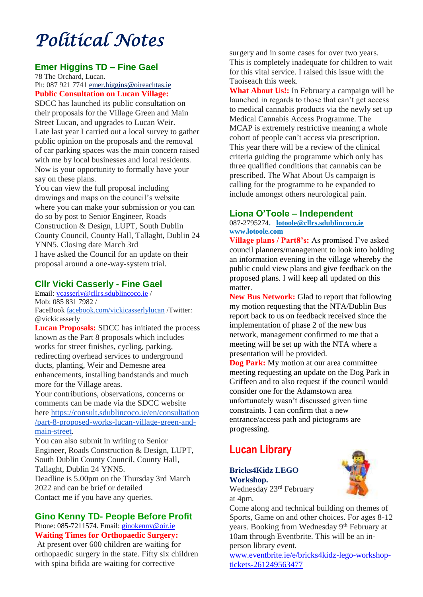# *Political Notes*

### **Emer Higgins TD – Fine Gael**

78 The Orchard, Lucan. Ph: 087 921 774[1 emer.higgins@oireachtas.ie](mailto:emer.higgins@oireachtas.ie) **Public Consultation on Lucan Village:**

SDCC has launched its public consultation on their proposals for the Village Green and Main Street Lucan, and upgrades to Lucan Weir. Late last year I carried out a local survey to gather public opinion on the proposals and the removal of car parking spaces was the main concern raised with me by local businesses and local residents. Now is your opportunity to formally have your say on these plans.

You can view the full proposal including drawings and maps on the council's website where you can make your submission or you can do so by post to Senior Engineer, Roads Construction & Design, LUPT, South Dublin County Council, County Hall, Tallaght, Dublin 24 YNN5. Closing date March 3rd I have asked the Council for an update on their proposal around a one-way-system trial.

### **Cllr Vicki Casserly - Fine Gael**

Email: [vcasserly@cllrs.sdublincoco.ie](mailto:vcasserly@cllrs.sdublincoco.ie) / Mob: 085 831 7982 / FaceBook [facebook.com/vickicasserlylucan](http://facebook.com/vickicasserlylucan) /Twitter: @vickicasserly

**Lucan Proposals:** SDCC has initiated the process known as the Part 8 proposals which includes works for street finishes, cycling, parking, redirecting overhead services to underground ducts, planting, Weir and Demesne area enhancements, installing bandstands and much more for the Village areas.

Your contributions, observations, concerns or comments can be made via the SDCC website here [https://consult.sdublincoco.ie/en/consultation](https://consult.sdublincoco.ie/en/consultation/part-8-proposed-works-lucan-village-green-and-main-street) [/part-8-proposed-works-lucan-village-green-and](https://consult.sdublincoco.ie/en/consultation/part-8-proposed-works-lucan-village-green-and-main-street)[main-street.](https://consult.sdublincoco.ie/en/consultation/part-8-proposed-works-lucan-village-green-and-main-street)

You can also submit in writing to Senior Engineer, Roads Construction & Design, LUPT, South Dublin County Council, County Hall, Tallaght, Dublin 24 YNN5. Deadline is 5.00pm on the Thursday 3rd March

2022 and can be brief or detailed Contact me if you have any queries.

### **Gino Kenny TD- People Before Profit**

Phone: 085-7211574. Email: *ginokenny@oir.ie* **Waiting Times for Orthopaedic Surgery:**

At present over 600 children are waiting for orthopaedic surgery in the state. Fifty six children with spina bifida are waiting for corrective

surgery and in some cases for over two years. This is completely inadequate for children to wait for this vital service. I raised this issue with the Taoiseach this week.

**What About Us!:** In February a campaign will be launched in regards to those that can't get access to medical cannabis products via the newly set up Medical Cannabis Access Programme. The MCAP is extremely restrictive meaning a whole cohort of people can't access via prescription. This year there will be a review of the clinical criteria guiding the programme which only has three qualified conditions that cannabis can be prescribed. The What About Us campaign is calling for the programme to be expanded to include amongst others neurological pain.

### **Liona O'Toole – Independent**

087-2795274**. [lotoole@cllrs.sdublincoco.ie](mailto:lotoole@cllrs.sdublincoco.ie) [www.lotoole.com](http://www.lotoole.com/)**

**Village plans / Part8's:** As promised I've asked council planners/management to look into holding an information evening in the village whereby the public could view plans and give feedback on the proposed plans. I will keep all updated on this matter.

**New Bus Network:** Glad to report that following my motion requesting that the NTA/Dublin Bus report back to us on feedback received since the implementation of phase 2 of the new bus network, management confirmed to me that a meeting will be set up with the NTA where a presentation will be provided.

**Dog Park:** My motion at our area committee meeting requesting an update on the Dog Park in Griffeen and to also request if the council would consider one for the Adamstown area unfortunately wasn't discussed given time constraints. I can confirm that a new entrance/access path and pictograms are progressing.

## **Lucan Library**

#### **Bricks4Kidz LEGO Workshop.**

Wednesday 23rd February at 4pm.

Come along and technical building on themes of Sports, Game on and other choices. For ages 8-12 years. Booking from Wednesday 9<sup>th</sup> February at 10am through Eventbrite. This will be an inperson library event.

[www.eventbrite.ie/e/bricks4kidz-lego-workshop](http://www.eventbrite.ie/e/bricks4kidz-lego-workshop-tickets-261249563477)[tickets-261249563477](http://www.eventbrite.ie/e/bricks4kidz-lego-workshop-tickets-261249563477)

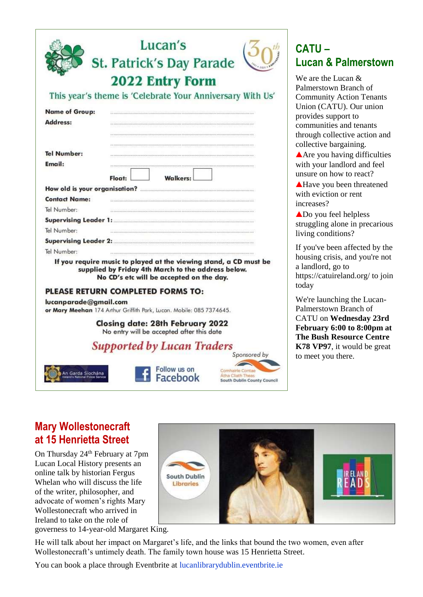|                                                      | Lucan's                                                                                                                                                             |  |
|------------------------------------------------------|---------------------------------------------------------------------------------------------------------------------------------------------------------------------|--|
|                                                      | <b>St. Patrick's Day Parade</b>                                                                                                                                     |  |
|                                                      |                                                                                                                                                                     |  |
|                                                      | <b>2022 Entry Form</b>                                                                                                                                              |  |
|                                                      | This year's theme is 'Celebrate Your Anniversary With Us'                                                                                                           |  |
| <b>Name of Group:</b>                                |                                                                                                                                                                     |  |
| Address:                                             |                                                                                                                                                                     |  |
|                                                      |                                                                                                                                                                     |  |
|                                                      |                                                                                                                                                                     |  |
| <b>Tel Number:</b>                                   |                                                                                                                                                                     |  |
| Email:                                               |                                                                                                                                                                     |  |
|                                                      | Float:<br><b>Walkers:</b>                                                                                                                                           |  |
|                                                      |                                                                                                                                                                     |  |
| <b>Contact Name:</b>                                 |                                                                                                                                                                     |  |
| Tel Number:                                          | a a mana a mana mana a mana mana a kata a mana mana mana na mana mana mana                                                                                          |  |
|                                                      |                                                                                                                                                                     |  |
| Tel Number:                                          |                                                                                                                                                                     |  |
|                                                      | Supervising Leader 2: <b>Automaking Leader 2:</b>                                                                                                                   |  |
| Tel Number:                                          |                                                                                                                                                                     |  |
|                                                      | If you require music to played at the viewing stand, a CD must be<br>supplied by Friday 4th March to the address below.<br>No CD's etc will be accepted on the day. |  |
|                                                      | <b>PLEASE RETURN COMPLETED FORMS TO:</b>                                                                                                                            |  |
| lucanparade@gmail.com                                | or Mary Meehan 174 Arthur Griffith Park, Lucan. Mobile: 085 7374645.                                                                                                |  |
|                                                      | <b>Closing date: 28th February 2022</b><br>No entry will be accepted after this date                                                                                |  |
|                                                      | <b>Supported by Lucan Traders</b><br>Sponsored by                                                                                                                   |  |
| An Garda Síochána<br>Ireland's National Police Serve | Follow us on<br>Atha Cliath Theas<br>Facebook<br>South Dublin County Counc                                                                                          |  |

## **CATU – Lucan & Palmerstown**

We are the Lucan  $\&$ Palmerstown Branch of Community Action Tenants Union (CATU). Our union provides support to communities and tenants through collective action and collective bargaining.

Are you having difficulties with your landlord and feel unsure on how to react?

**A**Have you been threatened with eviction or rent increases?

Do you feel helpless struggling alone in precarious living conditions?

If you've been affected by the housing crisis, and you're not a landlord, go to https://catuireland.org/ to join today

We're launching the Lucan-Palmerstown Branch of CATU on **Wednesday 23rd February 6:00 to 8:00pm at The Bush Resource Centre K78 VP97**, it would be great to meet you there.

## **Mary Wollestonecraft at 15 Henrietta Street**

**Mary All Irele** 

On Thursday 24<sup>th</sup> February at 7pm Lucan Local History presents an online talk by historian Fergus Whelan who will discuss the life of the writer, philosopher, and advocate of women's rights Mary Wollestonecraft who arrived in Ireland to take on the role of



South Dublin County Council

governess to 14-year-old Margaret King.

He will talk about her impact on Margaret's life, and the links that bound the two women, even after Wollestonecraft's untimely death. The family town house was 15 Henrietta Street.

You can book a place through Eventbrite at lucanlibrarydublin.eventbrite.ie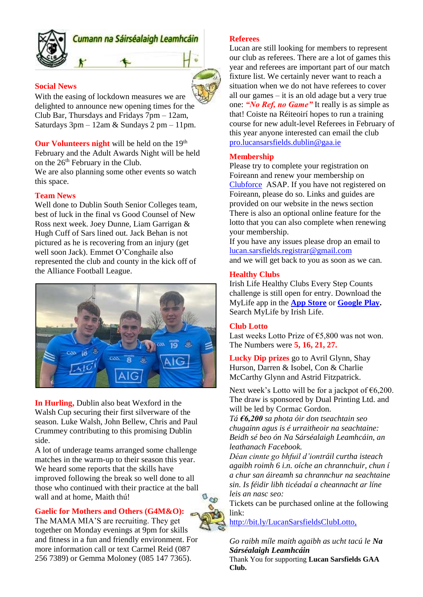

### Cumann na Sáirséalaigh Leamhcáin

#### **Social News**

With the easing of lockdown measures we are delighted to announce new opening times for the Club Bar, Thursdays and Fridays 7pm – 12am, Saturdays  $3pm - 12am \&$  Sundays  $2pm - 11pm$ .

**Our Volunteers night** will be held on the 19<sup>th</sup> February and the Adult Awards Night will be held on the  $26<sup>th</sup>$  February in the Club. We are also planning some other events so watch

this space.

#### **Team News**

Well done to Dublin South Senior Colleges team, best of luck in the final vs Good Counsel of New Ross next week. Joey Dunne, Liam Garrigan & Hugh Cuff of Sars lined out. Jack Behan is not pictured as he is recovering from an injury (get well soon Jack). Emmet O'Conghaile also represented the club and county in the kick off of the Alliance Football League.



**In Hurling,** Dublin also beat Wexford in the Walsh Cup securing their first silverware of the season. Luke Walsh, John Bellew, Chris and Paul Crummey contributing to this promising Dublin side.

A lot of underage teams arranged some challenge matches in the warm-up to their season this year. We heard some reports that the skills have improved following the break so well done to all those who continued with their practice at the ball wall and at home, Maith thú!

#### **Gaelic for Mothers and Others (G4M&O):**

The MAMA MIA'S are recruiting. They get together on Monday evenings at 9pm for skills and fitness in a fun and friendly environment. For more information call or text Carmel Reid (087 256 7389) or Gemma Moloney (085 147 7365).



Lucan are still looking for members to represent our club as referees. There are a lot of games this year and referees are important part of our match fixture list. We certainly never want to reach a situation when we do not have referees to cover all our games – it is an old adage but a very true one: *"No Ref, no Game"* It really is as simple as that! Coiste na Réiteoirí hopes to run a training course for new adult-level Referees in February of this year anyone interested can email the club [pro.lucansarsfields.dublin@gaa.ie](mailto:undefined%20[undefined:pro.lucansarsfields.dublin@gaa.ie])

#### **Membership**

Please try to complete your registration on Foireann and renew your membership on [Clubforce](https://member.clubforce.com/memberships_cart_m.asp?LL_ID=273&clb=1) ASAP. If you have not registered on Foireann, please do so. Links and guides are provided on our website in the news section There is also an optional online feature for the lotto that you can also complete when renewing your membership.

If you have any issues please drop an email to [lucan.sarsfields.registrar@gmail.com](mailto:lucan.sarsfields.registrar@gmail.com) and we will get back to you as soon as we can.

#### **Healthy Clubs**

Irish Life Healthy Clubs Every Step Counts challenge is still open for entry. Download the MyLife app in the **[App Store](https://apps.apple.com/ie/app/mylife-by-irish-life/id1459620652)** or **[Google Play.](https://play.google.com/store/apps/details?id=com.irishlife.mylife)**  Search MyLife by Irish Life.

#### **Club Lotto**

Last weeks Lotto Prize of €5,800 was not won. The Numbers were **5, 16, 21, 27.**

**Lucky Dip prizes** go to Avril Glynn, Shay Hurson, Darren & Isobel, Con & Charlie McCarthy Glynn and Astrid Fitzpatrick.

Next week's Lotto will be for a jackpot of  $\epsilon$ 6,200. The draw is sponsored by Dual Printing Ltd. and will be led by Cormac Gordon.

*Tá €6,200 sa phota óir don tseachtain seo chugainn agus is é urraitheoir na seachtaine: Beidh sé beo ón Na Sárséalaigh Leamhcáin, an leathanach Facebook.*

*Déan cinnte go bhfuil d'iontráil curtha isteach agaibh roimh 6 i.n. oíche an chrannchuir, chun í a chur san áireamh sa chrannchur na seachtaine sin. Is féidir libh ticéadaí a cheannacht ar líne leis an nasc seo:*

Tickets can be purchased online at the following link:

<http://bit.ly/LucanSarsfieldsClubLotto,>

#### *Go raibh míle maith agaibh as ucht tacú le Na Sárséalaigh Leamhcáin*

Thank You for supporting **Lucan Sarsfields GAA Club.**

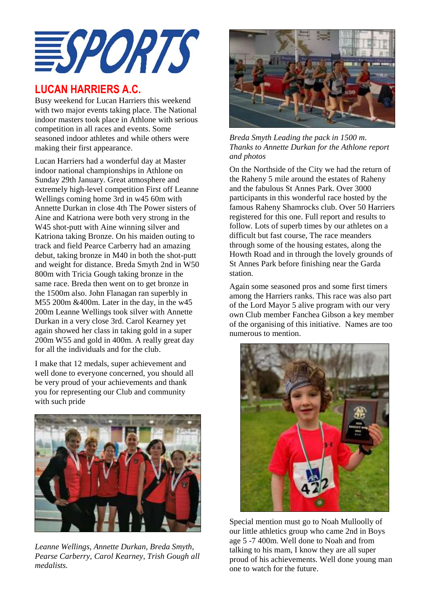

### **LUCAN HARRIERS A.C.**

Busy weekend for Lucan Harriers this weekend with two major events taking place. The National indoor masters took place in Athlone with serious competition in all races and events. Some seasoned indoor athletes and while others were making their first appearance.

Lucan Harriers had a wonderful day at Master indoor national championships in Athlone on Sunday 29th January. Great atmosphere and extremely high-level competition First off Leanne Wellings coming home 3rd in w45 60m with Annette Durkan in close 4th The Power sisters of Aine and Katriona were both very strong in the W<sub>45</sub> shot-putt with Aine winning silver and Katriona taking Bronze. On his maiden outing to track and field Pearce Carberry had an amazing debut, taking bronze in M40 in both the shot-putt and weight for distance. Breda Smyth 2nd in W50 800m with Tricia Gough taking bronze in the same race. Breda then went on to get bronze in the 1500m also. John Flanagan ran superbly in M55 200m &400m. Later in the day, in the w45 200m Leanne Wellings took silver with Annette Durkan in a very close 3rd. Carol Kearney yet again showed her class in taking gold in a super 200m W55 and gold in 400m. A really great day for all the individuals and for the club.

I make that 12 medals, super achievement and well done to everyone concerned, you should all be very proud of your achievements and thank you for representing our Club and community with such pride



*Leanne Wellings, Annette Durkan, Breda Smyth, Pearse Carberry, Carol Kearney, Trish Gough all medalists.*



*Breda Smyth Leading the pack in 1500 m. Thanks to Annette Durkan for the Athlone report and photos*

On the Northside of the City we had the return of the Raheny 5 mile around the estates of Raheny and the fabulous St Annes Park. Over 3000 participants in this wonderful race hosted by the famous Raheny Shamrocks club. Over 50 Harriers registered for this one. Full report and results to follow. Lots of superb times by our athletes on a difficult but fast course, The race meanders through some of the housing estates, along the Howth Road and in through the lovely grounds of St Annes Park before finishing near the Garda station.

Again some seasoned pros and some first timers among the Harriers ranks. This race was also part of the Lord Mayor 5 alive program with our very own Club member Fanchea Gibson a key member of the organising of this initiative. Names are too numerous to mention.



Special mention must go to Noah Mulloolly of our little athletics group who came 2nd in Boys age 5 -7 400m. Well done to Noah and from talking to his mam, I know they are all super proud of his achievements. Well done young man one to watch for the future.